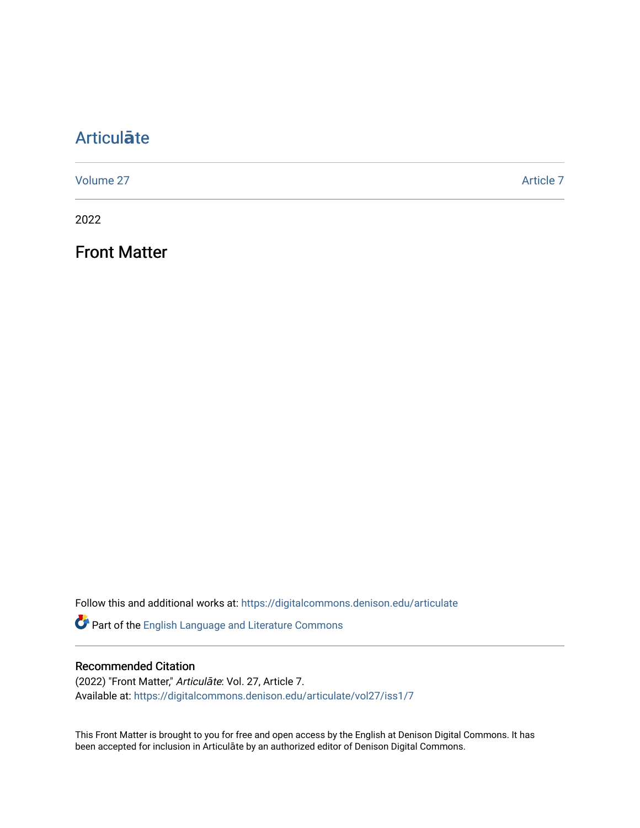## [Articul](https://digitalcommons.denison.edu/articulate)**ā**te

[Volume 27](https://digitalcommons.denison.edu/articulate/vol27) Article 7

2022

Front Matter

Follow this and additional works at: [https://digitalcommons.denison.edu/articulate](https://digitalcommons.denison.edu/articulate?utm_source=digitalcommons.denison.edu%2Farticulate%2Fvol27%2Fiss1%2F7&utm_medium=PDF&utm_campaign=PDFCoverPages)

Part of the [English Language and Literature Commons](http://network.bepress.com/hgg/discipline/455?utm_source=digitalcommons.denison.edu%2Farticulate%2Fvol27%2Fiss1%2F7&utm_medium=PDF&utm_campaign=PDFCoverPages)

## Recommended Citation

(2022) "Front Matter," Articulāte: Vol. 27, Article 7. Available at: [https://digitalcommons.denison.edu/articulate/vol27/iss1/7](https://digitalcommons.denison.edu/articulate/vol27/iss1/7?utm_source=digitalcommons.denison.edu%2Farticulate%2Fvol27%2Fiss1%2F7&utm_medium=PDF&utm_campaign=PDFCoverPages)

This Front Matter is brought to you for free and open access by the English at Denison Digital Commons. It has been accepted for inclusion in Articulāte by an authorized editor of Denison Digital Commons.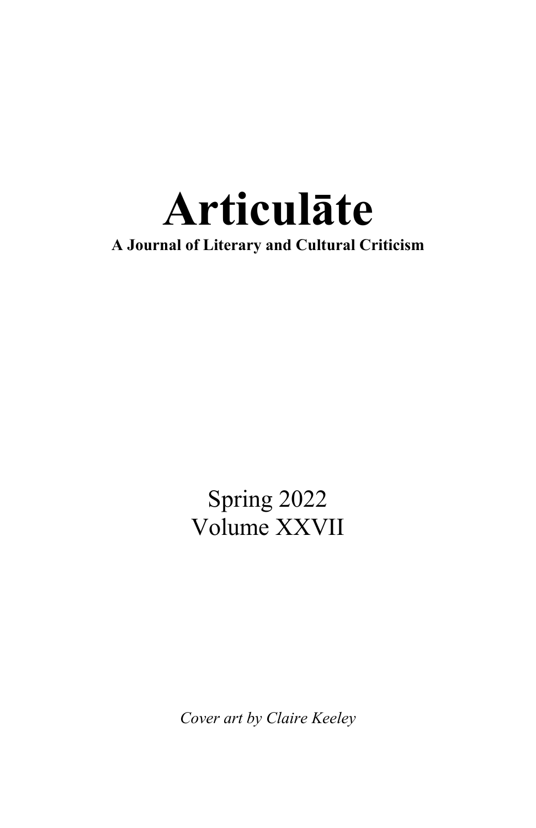

Spring 2022 Volume XXVII

*Cover art by Claire Keeley*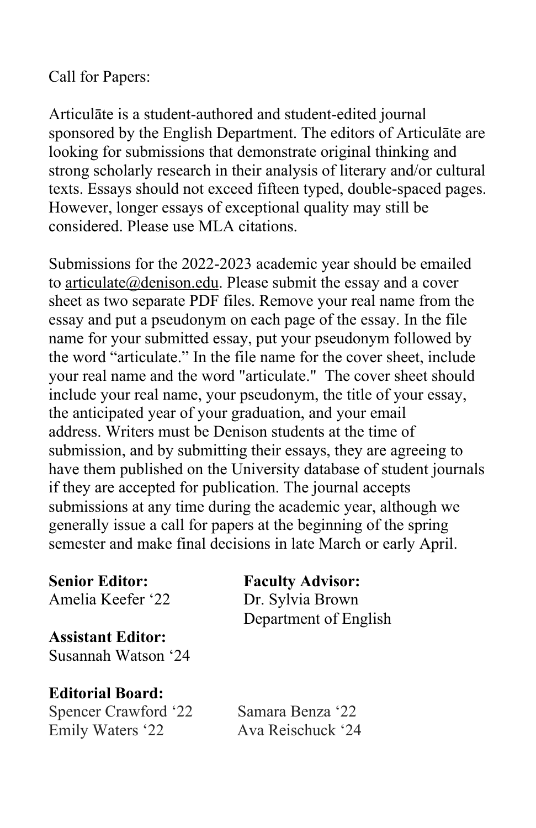## Call for Papers:

Articulāte is a student-authored and student-edited journal sponsored by the English Department. The editors of Articulāte are looking for submissions that demonstrate original thinking and strong scholarly research in their analysis of literary and/or cultural texts. Essays should not exceed fifteen typed, double-spaced pages. However, longer essays of exceptional quality may still be considered. Please use MLA citations.

Submissions for the 2022-2023 academic year should be emailed to articulate@denison.edu. Please submit the essay and a cover sheet as two separate PDF files. Remove your real name from the essay and put a pseudonym on each page of the essay. In the file name for your submitted essay, put your pseudonym followed by the word "articulate." In the file name for the cover sheet, include your real name and the word "articulate." The cover sheet should include your real name, your pseudonym, the title of your essay, the anticipated year of your graduation, and your email address. Writers must be Denison students at the time of submission, and by submitting their essays, they are agreeing to have them published on the University database of student journals if they are accepted for publication. The journal accepts submissions at any time during the academic year, although we generally issue a call for papers at the beginning of the spring semester and make final decisions in late March or early April.

**Senior Editor: Faculty Advisor:** Amelia Keefer '22 Dr. Sylvia Brown

**Assistant Editor:** Susannah Watson '24

**Editorial Board:** Spencer Crawford '22 Samara Benza '22 Emily Waters '22 Ava Reischuck '24

Department of English